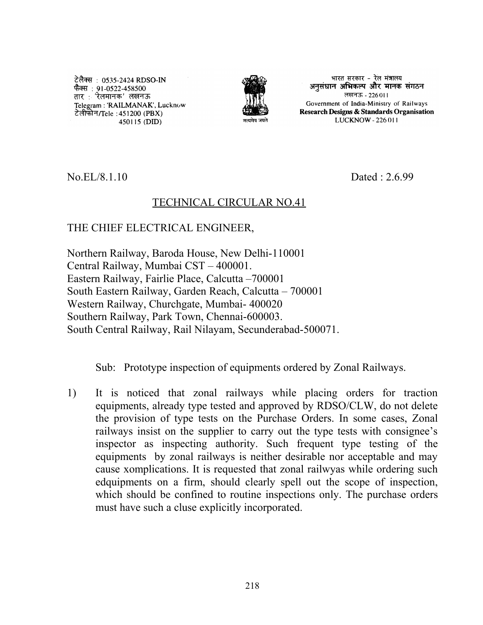टेलैक्स : 0535-2424 RDSO-IN कैक्स : 91-0522-458500<br>फैक्स : 91-0522-458500<br>तार : 'रेलमानक' लखनऊ Telegram: 'RAILMANAK', Lucknow टेलीफोन/Tele: 451200 (PBX) 450115 (DID)



भारत सरकार - रेल मंत्रालय अनुसंधान अभिकल्प और मानक संगठन लखनऊ - 226011 Government of India-Ministry of Railways Research Designs & Standards Organisation LUCKNOW - 226 011

No.EL/8.1.10 Dated : 2.6.99

## TECHNICAL CIRCULAR NO.41

## THE CHIEF ELECTRICAL ENGINEER,

Northern Railway, Baroda House, New Delhi-110001 Central Railway, Mumbai CST – 400001. Eastern Railway, Fairlie Place, Calcutta –700001 South Eastern Railway, Garden Reach, Calcutta – 700001 Western Railway, Churchgate, Mumbai- 400020 Southern Railway, Park Town, Chennai-600003. South Central Railway, Rail Nilayam, Secunderabad-500071.

Sub: Prototype inspection of equipments ordered by Zonal Railways.

1) It is noticed that zonal railways while placing orders for traction equipments, already type tested and approved by RDSO/CLW, do not delete the provision of type tests on the Purchase Orders. In some cases, Zonal railways insist on the supplier to carry out the type tests with consignee's inspector as inspecting authority. Such frequent type testing of the equipments by zonal railways is neither desirable nor acceptable and may cause xomplications. It is requested that zonal railwyas while ordering such edquipments on a firm, should clearly spell out the scope of inspection, which should be confined to routine inspections only. The purchase orders must have such a cluse explicitly incorporated.